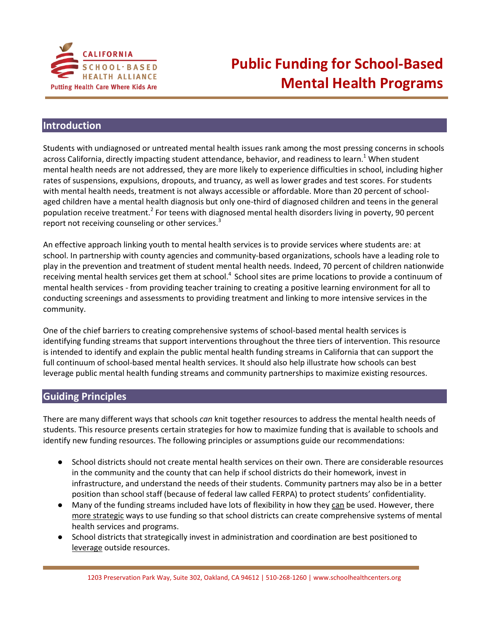

## **Public Funding for School-Based Mental Health Programs**

## **Introduction**

Students with undiagnosed or untreated mental health issues rank among the most pressing concerns in schools across California, directly impacting student attendance, behavior, and readiness to learn.<sup>1</sup> When student mental health needs are not addressed, they are more likely to experience difficulties in school, including higher rates of suspensions, expulsions, dropouts, and truancy, as well as lower grades and test scores. For students with mental health needs, treatment is not always accessible or affordable. More than 20 percent of schoolaged children have a mental health diagnosis but only one-third of diagnosed children and teens in the general population receive treatment.<sup>2</sup> For teens with diagnosed mental health disorders living in poverty, 90 percent report not receiving counseling or other services.<sup>3</sup>

An effective approach linking youth to mental health services is to provide services where students are: at school. In partnership with county agencies and community-based organizations, schools have a leading role to play in the prevention and treatment of student mental health needs. Indeed, 70 percent of children nationwide receiving mental health services get them at school.<sup>4</sup> School sites are prime locations to provide a continuum of mental health services - from providing teacher training to creating a positive learning environment for all to conducting screenings and assessments to providing treatment and linking to more intensive services in the community.

One of the chief barriers to creating comprehensive systems of school-based mental health services is identifying funding streams that support interventions throughout the three tiers of intervention. This resource is intended to identify and explain the public mental health funding streams in California that can support the full continuum of school-based mental health services. It should also help illustrate how schools can best leverage public mental health funding streams and community partnerships to maximize existing resources.

## **Guiding Principles**

There are many different ways that schools *can* knit together resources to address the mental health needs of students. This resource presents certain strategies for how to maximize funding that is available to schools and identify new funding resources. The following principles or assumptions guide our recommendations:

- School districts should not create mental health services on their own. There are considerable resources in the community and the county that can help if school districts do their homework, invest in infrastructure, and understand the needs of their students. Community partners may also be in a better position than school staff (because of federal law called FERPA) to protect students' confidentiality.
- Many of the funding streams included have lots of flexibility in how they can be used. However, there more strategic ways to use funding so that school districts can create comprehensive systems of mental health services and programs.
- School districts that strategically invest in administration and coordination are best positioned to leverage outside resources.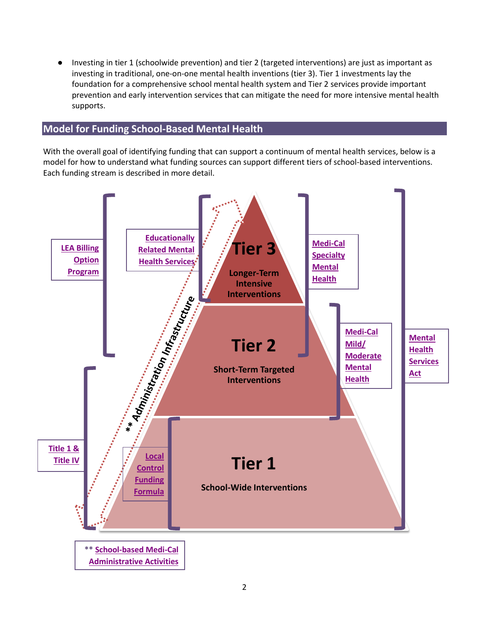● Investing in tier 1 (schoolwide prevention) and tier 2 (targeted interventions) are just as important as investing in traditional, one-on-one mental health inventions (tier 3). Tier 1 investments lay the foundation for a comprehensive school mental health system and Tier 2 services provide important prevention and early intervention services that can mitigate the need for more intensive mental health supports.

## <span id="page-1-0"></span>**Model for Funding School-Based Mental Health**

With the overall goal of identifying funding that can support a continuum of mental health services, below is a model for how to understand what funding sources can support different tiers of school-based interventions. Each funding stream is described in more detail.

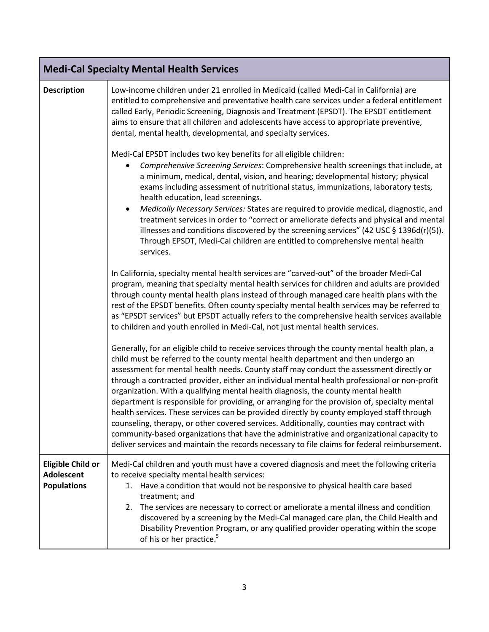<span id="page-2-0"></span>

| <b>Medi-Cal Specialty Mental Health Services</b>                    |                                                                                                                                                                                                                                                                                                                                                                                                                                                                                                                                                                                                                                                                                                                                                                                                                                                                                                                                                           |  |
|---------------------------------------------------------------------|-----------------------------------------------------------------------------------------------------------------------------------------------------------------------------------------------------------------------------------------------------------------------------------------------------------------------------------------------------------------------------------------------------------------------------------------------------------------------------------------------------------------------------------------------------------------------------------------------------------------------------------------------------------------------------------------------------------------------------------------------------------------------------------------------------------------------------------------------------------------------------------------------------------------------------------------------------------|--|
| <b>Description</b>                                                  | Low-income children under 21 enrolled in Medicaid (called Medi-Cal in California) are<br>entitled to comprehensive and preventative health care services under a federal entitlement<br>called Early, Periodic Screening, Diagnosis and Treatment (EPSDT). The EPSDT entitlement<br>aims to ensure that all children and adolescents have access to appropriate preventive,<br>dental, mental health, developmental, and specialty services.                                                                                                                                                                                                                                                                                                                                                                                                                                                                                                              |  |
|                                                                     | Medi-Cal EPSDT includes two key benefits for all eligible children:<br>Comprehensive Screening Services: Comprehensive health screenings that include, at<br>a minimum, medical, dental, vision, and hearing; developmental history; physical<br>exams including assessment of nutritional status, immunizations, laboratory tests,<br>health education, lead screenings.<br>Medically Necessary Services: States are required to provide medical, diagnostic, and<br>$\bullet$<br>treatment services in order to "correct or ameliorate defects and physical and mental<br>illnesses and conditions discovered by the screening services" (42 USC $\S$ 1396d(r)(5)).<br>Through EPSDT, Medi-Cal children are entitled to comprehensive mental health<br>services.                                                                                                                                                                                        |  |
|                                                                     | In California, specialty mental health services are "carved-out" of the broader Medi-Cal<br>program, meaning that specialty mental health services for children and adults are provided<br>through county mental health plans instead of through managed care health plans with the<br>rest of the EPSDT benefits. Often county specialty mental health services may be referred to<br>as "EPSDT services" but EPSDT actually refers to the comprehensive health services available<br>to children and youth enrolled in Medi-Cal, not just mental health services.                                                                                                                                                                                                                                                                                                                                                                                       |  |
|                                                                     | Generally, for an eligible child to receive services through the county mental health plan, a<br>child must be referred to the county mental health department and then undergo an<br>assessment for mental health needs. County staff may conduct the assessment directly or<br>through a contracted provider, either an individual mental health professional or non-profit<br>organization. With a qualifying mental health diagnosis, the county mental health<br>department is responsible for providing, or arranging for the provision of, specialty mental<br>health services. These services can be provided directly by county employed staff through<br>counseling, therapy, or other covered services. Additionally, counties may contract with<br>community-based organizations that have the administrative and organizational capacity to<br>deliver services and maintain the records necessary to file claims for federal reimbursement. |  |
| <b>Eligible Child or</b><br><b>Adolescent</b><br><b>Populations</b> | Medi-Cal children and youth must have a covered diagnosis and meet the following criteria<br>to receive specialty mental health services:<br>Have a condition that would not be responsive to physical health care based<br>1.<br>treatment; and<br>The services are necessary to correct or ameliorate a mental illness and condition<br>2.<br>discovered by a screening by the Medi-Cal managed care plan, the Child Health and<br>Disability Prevention Program, or any qualified provider operating within the scope<br>of his or her practice. <sup>5</sup>                                                                                                                                                                                                                                                                                                                                                                                          |  |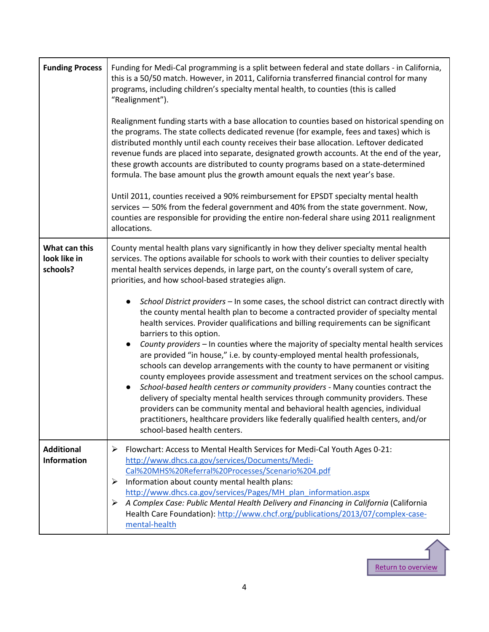| <b>Funding Process</b>                    | Funding for Medi-Cal programming is a split between federal and state dollars - in California,<br>this is a 50/50 match. However, in 2011, California transferred financial control for many<br>programs, including children's specialty mental health, to counties (this is called<br>"Realignment").<br>Realignment funding starts with a base allocation to counties based on historical spending on<br>the programs. The state collects dedicated revenue (for example, fees and taxes) which is<br>distributed monthly until each county receives their base allocation. Leftover dedicated<br>revenue funds are placed into separate, designated growth accounts. At the end of the year,<br>these growth accounts are distributed to county programs based on a state-determined<br>formula. The base amount plus the growth amount equals the next year's base.<br>Until 2011, counties received a 90% reimbursement for EPSDT specialty mental health                                                                                                                                                                                                                                                                                                                                                                                                               |
|-------------------------------------------|------------------------------------------------------------------------------------------------------------------------------------------------------------------------------------------------------------------------------------------------------------------------------------------------------------------------------------------------------------------------------------------------------------------------------------------------------------------------------------------------------------------------------------------------------------------------------------------------------------------------------------------------------------------------------------------------------------------------------------------------------------------------------------------------------------------------------------------------------------------------------------------------------------------------------------------------------------------------------------------------------------------------------------------------------------------------------------------------------------------------------------------------------------------------------------------------------------------------------------------------------------------------------------------------------------------------------------------------------------------------------|
|                                           | services - 50% from the federal government and 40% from the state government. Now,<br>counties are responsible for providing the entire non-federal share using 2011 realignment<br>allocations.                                                                                                                                                                                                                                                                                                                                                                                                                                                                                                                                                                                                                                                                                                                                                                                                                                                                                                                                                                                                                                                                                                                                                                             |
| What can this<br>look like in<br>schools? | County mental health plans vary significantly in how they deliver specialty mental health<br>services. The options available for schools to work with their counties to deliver specialty<br>mental health services depends, in large part, on the county's overall system of care,<br>priorities, and how school-based strategies align.<br>School District providers - In some cases, the school district can contract directly with<br>the county mental health plan to become a contracted provider of specialty mental<br>health services. Provider qualifications and billing requirements can be significant<br>barriers to this option.<br>County providers - In counties where the majority of specialty mental health services<br>are provided "in house," i.e. by county-employed mental health professionals,<br>schools can develop arrangements with the county to have permanent or visiting<br>county employees provide assessment and treatment services on the school campus.<br>School-based health centers or community providers - Many counties contract the<br>delivery of specialty mental health services through community providers. These<br>providers can be community mental and behavioral health agencies, individual<br>practitioners, healthcare providers like federally qualified health centers, and/or<br>school-based health centers. |
| <b>Additional</b><br><b>Information</b>   | ➤<br>Flowchart: Access to Mental Health Services for Medi-Cal Youth Ages 0-21:<br>http://www.dhcs.ca.gov/services/Documents/Medi-<br>Cal%20MHS%20Referral%20Processes/Scenario%204.pdf<br>Information about county mental health plans:<br>≻<br>http://www.dhcs.ca.gov/services/Pages/MH plan information.aspx<br>A Complex Case: Public Mental Health Delivery and Financing in California (California<br>➤<br>Health Care Foundation): http://www.chcf.org/publications/2013/07/complex-case-<br>mental-health                                                                                                                                                                                                                                                                                                                                                                                                                                                                                                                                                                                                                                                                                                                                                                                                                                                             |

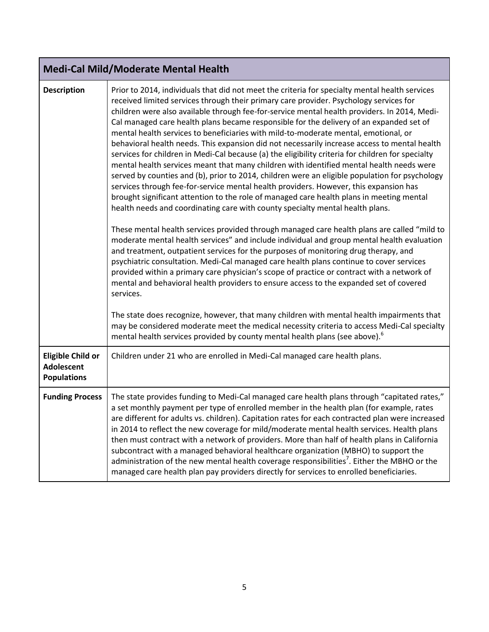<span id="page-4-0"></span>

|  | Medi-Cal Mild/Moderate Mental Health |  |
|--|--------------------------------------|--|
|  |                                      |  |

| <b>Description</b>                                                  | Prior to 2014, individuals that did not meet the criteria for specialty mental health services<br>received limited services through their primary care provider. Psychology services for<br>children were also available through fee-for-service mental health providers. In 2014, Medi-<br>Cal managed care health plans became responsible for the delivery of an expanded set of<br>mental health services to beneficiaries with mild-to-moderate mental, emotional, or<br>behavioral health needs. This expansion did not necessarily increase access to mental health<br>services for children in Medi-Cal because (a) the eligibility criteria for children for specialty<br>mental health services meant that many children with identified mental health needs were<br>served by counties and (b), prior to 2014, children were an eligible population for psychology<br>services through fee-for-service mental health providers. However, this expansion has<br>brought significant attention to the role of managed care health plans in meeting mental<br>health needs and coordinating care with county specialty mental health plans.<br>These mental health services provided through managed care health plans are called "mild to<br>moderate mental health services" and include individual and group mental health evaluation<br>and treatment, outpatient services for the purposes of monitoring drug therapy, and<br>psychiatric consultation. Medi-Cal managed care health plans continue to cover services<br>provided within a primary care physician's scope of practice or contract with a network of |
|---------------------------------------------------------------------|----------------------------------------------------------------------------------------------------------------------------------------------------------------------------------------------------------------------------------------------------------------------------------------------------------------------------------------------------------------------------------------------------------------------------------------------------------------------------------------------------------------------------------------------------------------------------------------------------------------------------------------------------------------------------------------------------------------------------------------------------------------------------------------------------------------------------------------------------------------------------------------------------------------------------------------------------------------------------------------------------------------------------------------------------------------------------------------------------------------------------------------------------------------------------------------------------------------------------------------------------------------------------------------------------------------------------------------------------------------------------------------------------------------------------------------------------------------------------------------------------------------------------------------------------------------------------------------------------------------------------------|
|                                                                     | mental and behavioral health providers to ensure access to the expanded set of covered<br>services.<br>The state does recognize, however, that many children with mental health impairments that<br>may be considered moderate meet the medical necessity criteria to access Medi-Cal specialty<br>mental health services provided by county mental health plans (see above). <sup>6</sup>                                                                                                                                                                                                                                                                                                                                                                                                                                                                                                                                                                                                                                                                                                                                                                                                                                                                                                                                                                                                                                                                                                                                                                                                                                       |
| <b>Eligible Child or</b><br><b>Adolescent</b><br><b>Populations</b> | Children under 21 who are enrolled in Medi-Cal managed care health plans.                                                                                                                                                                                                                                                                                                                                                                                                                                                                                                                                                                                                                                                                                                                                                                                                                                                                                                                                                                                                                                                                                                                                                                                                                                                                                                                                                                                                                                                                                                                                                        |
| <b>Funding Process</b>                                              | The state provides funding to Medi-Cal managed care health plans through "capitated rates,"<br>a set monthly payment per type of enrolled member in the health plan (for example, rates<br>are different for adults vs. children). Capitation rates for each contracted plan were increased<br>in 2014 to reflect the new coverage for mild/moderate mental health services. Health plans<br>then must contract with a network of providers. More than half of health plans in California<br>subcontract with a managed behavioral healthcare organization (MBHO) to support the<br>administration of the new mental health coverage responsibilities <sup>7</sup> . Either the MBHO or the<br>managed care health plan pay providers directly for services to enrolled beneficiaries.                                                                                                                                                                                                                                                                                                                                                                                                                                                                                                                                                                                                                                                                                                                                                                                                                                           |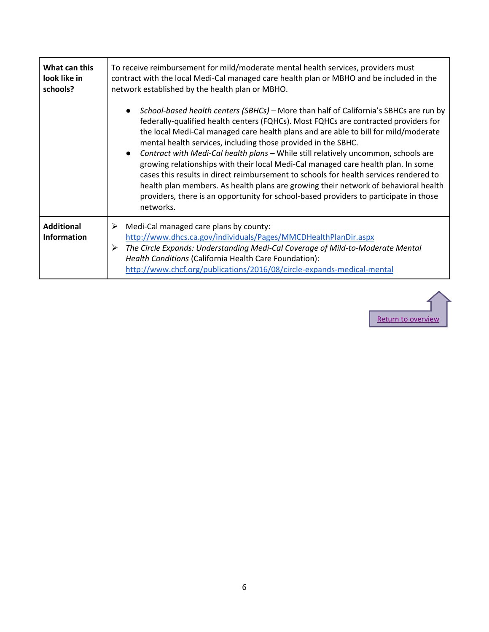| What can this<br>look like in<br>schools? | To receive reimbursement for mild/moderate mental health services, providers must<br>contract with the local Medi-Cal managed care health plan or MBHO and be included in the<br>network established by the health plan or MBHO.                                                                                                                                                                                                                                                                                                                                                                                                                                                                                                                                                                                   |
|-------------------------------------------|--------------------------------------------------------------------------------------------------------------------------------------------------------------------------------------------------------------------------------------------------------------------------------------------------------------------------------------------------------------------------------------------------------------------------------------------------------------------------------------------------------------------------------------------------------------------------------------------------------------------------------------------------------------------------------------------------------------------------------------------------------------------------------------------------------------------|
|                                           | School-based health centers (SBHCs) - More than half of California's SBHCs are run by<br>federally-qualified health centers (FQHCs). Most FQHCs are contracted providers for<br>the local Medi-Cal managed care health plans and are able to bill for mild/moderate<br>mental health services, including those provided in the SBHC.<br>Contract with Medi-Cal health plans - While still relatively uncommon, schools are<br>$\bullet$<br>growing relationships with their local Medi-Cal managed care health plan. In some<br>cases this results in direct reimbursement to schools for health services rendered to<br>health plan members. As health plans are growing their network of behavioral health<br>providers, there is an opportunity for school-based providers to participate in those<br>networks. |
| <b>Additional</b><br><b>Information</b>   | Medi-Cal managed care plans by county:<br>➤<br>http://www.dhcs.ca.gov/individuals/Pages/MMCDHealthPlanDir.aspx<br>The Circle Expands: Understanding Medi-Cal Coverage of Mild-to-Moderate Mental<br>➤<br>Health Conditions (California Health Care Foundation):<br>http://www.chcf.org/publications/2016/08/circle-expands-medical-mental                                                                                                                                                                                                                                                                                                                                                                                                                                                                          |

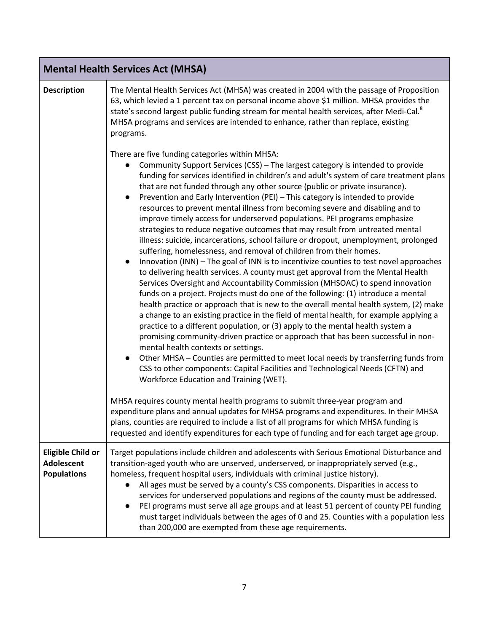<span id="page-6-0"></span>

|                                                                     | <b>Mental Health Services Act (MHSA)</b>                                                                                                                                                                                                                                                                                                                                                                                                                                                                                                                                                                                                                                                                                                                                                                                                                                                                                                                                                                                                                                                                                                                                                                                                                                                                                                                                                                                                                                                                                                                                                                                                                                                                                                                                         |  |  |
|---------------------------------------------------------------------|----------------------------------------------------------------------------------------------------------------------------------------------------------------------------------------------------------------------------------------------------------------------------------------------------------------------------------------------------------------------------------------------------------------------------------------------------------------------------------------------------------------------------------------------------------------------------------------------------------------------------------------------------------------------------------------------------------------------------------------------------------------------------------------------------------------------------------------------------------------------------------------------------------------------------------------------------------------------------------------------------------------------------------------------------------------------------------------------------------------------------------------------------------------------------------------------------------------------------------------------------------------------------------------------------------------------------------------------------------------------------------------------------------------------------------------------------------------------------------------------------------------------------------------------------------------------------------------------------------------------------------------------------------------------------------------------------------------------------------------------------------------------------------|--|--|
| <b>Description</b>                                                  | The Mental Health Services Act (MHSA) was created in 2004 with the passage of Proposition<br>63, which levied a 1 percent tax on personal income above \$1 million. MHSA provides the<br>state's second largest public funding stream for mental health services, after Medi-Cal. <sup>8</sup><br>MHSA programs and services are intended to enhance, rather than replace, existing<br>programs.                                                                                                                                                                                                                                                                                                                                                                                                                                                                                                                                                                                                                                                                                                                                                                                                                                                                                                                                                                                                                                                                                                                                                                                                                                                                                                                                                                                 |  |  |
|                                                                     | There are five funding categories within MHSA:<br>Community Support Services (CSS) - The largest category is intended to provide<br>funding for services identified in children's and adult's system of care treatment plans<br>that are not funded through any other source (public or private insurance).<br>Prevention and Early Intervention (PEI) - This category is intended to provide<br>resources to prevent mental illness from becoming severe and disabling and to<br>improve timely access for underserved populations. PEI programs emphasize<br>strategies to reduce negative outcomes that may result from untreated mental<br>illness: suicide, incarcerations, school failure or dropout, unemployment, prolonged<br>suffering, homelessness, and removal of children from their homes.<br>Innovation (INN) - The goal of INN is to incentivize counties to test novel approaches<br>to delivering health services. A county must get approval from the Mental Health<br>Services Oversight and Accountability Commission (MHSOAC) to spend innovation<br>funds on a project. Projects must do one of the following: (1) introduce a mental<br>health practice or approach that is new to the overall mental health system, (2) make<br>a change to an existing practice in the field of mental health, for example applying a<br>practice to a different population, or (3) apply to the mental health system a<br>promising community-driven practice or approach that has been successful in non-<br>mental health contexts or settings.<br>Other MHSA - Counties are permitted to meet local needs by transferring funds from<br>CSS to other components: Capital Facilities and Technological Needs (CFTN) and<br>Workforce Education and Training (WET). |  |  |
|                                                                     | MHSA requires county mental health programs to submit three-year program and<br>expenditure plans and annual updates for MHSA programs and expenditures. In their MHSA<br>plans, counties are required to include a list of all programs for which MHSA funding is<br>requested and identify expenditures for each type of funding and for each target age group.                                                                                                                                                                                                                                                                                                                                                                                                                                                                                                                                                                                                                                                                                                                                                                                                                                                                                                                                                                                                                                                                                                                                                                                                                                                                                                                                                                                                                |  |  |
| <b>Eligible Child or</b><br><b>Adolescent</b><br><b>Populations</b> | Target populations include children and adolescents with Serious Emotional Disturbance and<br>transition-aged youth who are unserved, underserved, or inappropriately served (e.g.,<br>homeless, frequent hospital users, individuals with criminal justice history).<br>All ages must be served by a county's CSS components. Disparities in access to<br>services for underserved populations and regions of the county must be addressed.<br>PEI programs must serve all age groups and at least 51 percent of county PEI funding<br>must target individuals between the ages of 0 and 25. Counties with a population less<br>than 200,000 are exempted from these age requirements.                                                                                                                                                                                                                                                                                                                                                                                                                                                                                                                                                                                                                                                                                                                                                                                                                                                                                                                                                                                                                                                                                          |  |  |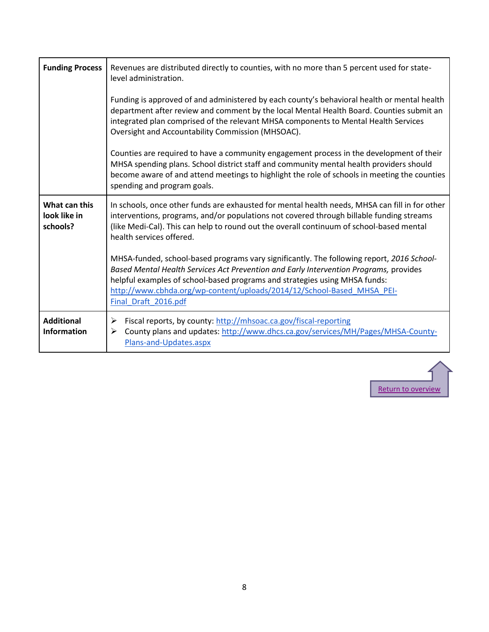| <b>Funding Process</b>                    | Revenues are distributed directly to counties, with no more than 5 percent used for state-<br>level administration.                                                                                                                                                                                                                                                |
|-------------------------------------------|--------------------------------------------------------------------------------------------------------------------------------------------------------------------------------------------------------------------------------------------------------------------------------------------------------------------------------------------------------------------|
|                                           | Funding is approved of and administered by each county's behavioral health or mental health<br>department after review and comment by the local Mental Health Board. Counties submit an<br>integrated plan comprised of the relevant MHSA components to Mental Health Services<br>Oversight and Accountability Commission (MHSOAC).                                |
|                                           | Counties are required to have a community engagement process in the development of their<br>MHSA spending plans. School district staff and community mental health providers should<br>become aware of and attend meetings to highlight the role of schools in meeting the counties<br>spending and program goals.                                                 |
| What can this<br>look like in<br>schools? | In schools, once other funds are exhausted for mental health needs, MHSA can fill in for other<br>interventions, programs, and/or populations not covered through billable funding streams<br>(like Medi-Cal). This can help to round out the overall continuum of school-based mental<br>health services offered.                                                 |
|                                           | MHSA-funded, school-based programs vary significantly. The following report, 2016 School-<br>Based Mental Health Services Act Prevention and Early Intervention Programs, provides<br>helpful examples of school-based programs and strategies using MHSA funds:<br>http://www.cbhda.org/wp-content/uploads/2014/12/School-Based MHSA PEI-<br>Final Draft 2016.pdf |
| <b>Additional</b><br><b>Information</b>   | Fiscal reports, by county: http://mhsoac.ca.gov/fiscal-reporting<br>➤<br>County plans and updates: http://www.dhcs.ca.gov/services/MH/Pages/MHSA-County-<br>➤<br>Plans-and-Updates.aspx                                                                                                                                                                            |

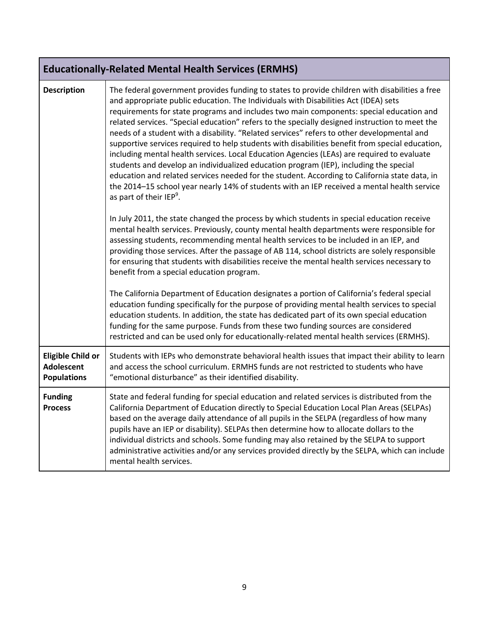<span id="page-8-0"></span>

|                                                                     | <b>Educationally-Related Mental Health Services (ERMHS)</b>                                                                                                                                                                                                                                                                                                                                                                                                                                                                                                                                                                                                                                                                                                                                                                                                                                                                                                                                                       |  |  |
|---------------------------------------------------------------------|-------------------------------------------------------------------------------------------------------------------------------------------------------------------------------------------------------------------------------------------------------------------------------------------------------------------------------------------------------------------------------------------------------------------------------------------------------------------------------------------------------------------------------------------------------------------------------------------------------------------------------------------------------------------------------------------------------------------------------------------------------------------------------------------------------------------------------------------------------------------------------------------------------------------------------------------------------------------------------------------------------------------|--|--|
| <b>Description</b>                                                  | The federal government provides funding to states to provide children with disabilities a free<br>and appropriate public education. The Individuals with Disabilities Act (IDEA) sets<br>requirements for state programs and includes two main components: special education and<br>related services. "Special education" refers to the specially designed instruction to meet the<br>needs of a student with a disability. "Related services" refers to other developmental and<br>supportive services required to help students with disabilities benefit from special education,<br>including mental health services. Local Education Agencies (LEAs) are required to evaluate<br>students and develop an individualized education program (IEP), including the special<br>education and related services needed for the student. According to California state data, in<br>the 2014-15 school year nearly 14% of students with an IEP received a mental health service<br>as part of their IEP <sup>9</sup> . |  |  |
|                                                                     | In July 2011, the state changed the process by which students in special education receive<br>mental health services. Previously, county mental health departments were responsible for<br>assessing students, recommending mental health services to be included in an IEP, and<br>providing those services. After the passage of AB 114, school districts are solely responsible<br>for ensuring that students with disabilities receive the mental health services necessary to<br>benefit from a special education program.                                                                                                                                                                                                                                                                                                                                                                                                                                                                                   |  |  |
|                                                                     | The California Department of Education designates a portion of California's federal special<br>education funding specifically for the purpose of providing mental health services to special<br>education students. In addition, the state has dedicated part of its own special education<br>funding for the same purpose. Funds from these two funding sources are considered<br>restricted and can be used only for educationally-related mental health services (ERMHS).                                                                                                                                                                                                                                                                                                                                                                                                                                                                                                                                      |  |  |
| <b>Eligible Child or</b><br><b>Adolescent</b><br><b>Populations</b> | Students with IEPs who demonstrate behavioral health issues that impact their ability to learn<br>and access the school curriculum. ERMHS funds are not restricted to students who have<br>"emotional disturbance" as their identified disability.                                                                                                                                                                                                                                                                                                                                                                                                                                                                                                                                                                                                                                                                                                                                                                |  |  |
| <b>Funding</b><br><b>Process</b>                                    | State and federal funding for special education and related services is distributed from the<br>California Department of Education directly to Special Education Local Plan Areas (SELPAs)<br>based on the average daily attendance of all pupils in the SELPA (regardless of how many<br>pupils have an IEP or disability). SELPAs then determine how to allocate dollars to the<br>individual districts and schools. Some funding may also retained by the SELPA to support<br>administrative activities and/or any services provided directly by the SELPA, which can include<br>mental health services.                                                                                                                                                                                                                                                                                                                                                                                                       |  |  |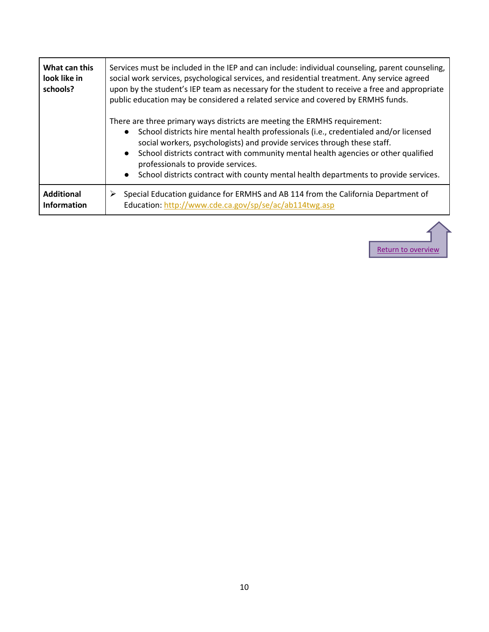| What can this<br>look like in<br>schools? | Services must be included in the IEP and can include: individual counseling, parent counseling,<br>social work services, psychological services, and residential treatment. Any service agreed<br>upon by the student's IEP team as necessary for the student to receive a free and appropriate<br>public education may be considered a related service and covered by ERMHS funds.                                                                                                          |
|-------------------------------------------|----------------------------------------------------------------------------------------------------------------------------------------------------------------------------------------------------------------------------------------------------------------------------------------------------------------------------------------------------------------------------------------------------------------------------------------------------------------------------------------------|
|                                           | There are three primary ways districts are meeting the ERMHS requirement:<br>School districts hire mental health professionals (i.e., credentialed and/or licensed<br>social workers, psychologists) and provide services through these staff.<br>School districts contract with community mental health agencies or other qualified<br>$\bullet$<br>professionals to provide services.<br>School districts contract with county mental health departments to provide services.<br>$\bullet$ |
| <b>Additional</b><br><b>Information</b>   | Special Education guidance for ERMHS and AB 114 from the California Department of<br>➤<br>Education: http://www.cde.ca.gov/sp/se/ac/ab114twg.asp                                                                                                                                                                                                                                                                                                                                             |

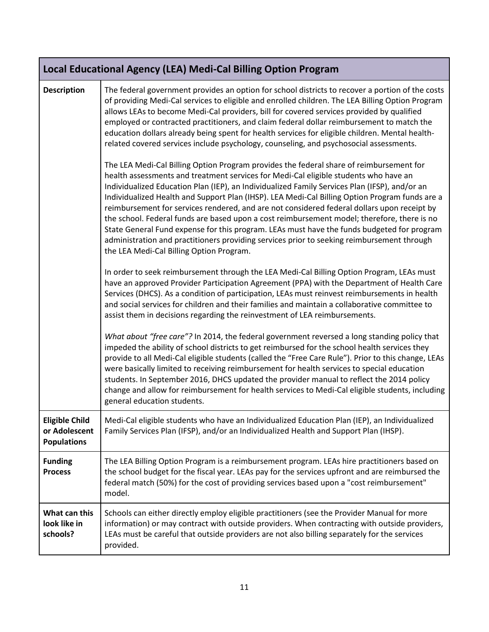<span id="page-10-0"></span>

|                                                              | Local Educational Agency (LEA) Medi-Cal Billing Option Program                                                                                                                                                                                                                                                                                                                                                                                                                                                                                                                                                                                                                                                                                                                                                           |  |  |
|--------------------------------------------------------------|--------------------------------------------------------------------------------------------------------------------------------------------------------------------------------------------------------------------------------------------------------------------------------------------------------------------------------------------------------------------------------------------------------------------------------------------------------------------------------------------------------------------------------------------------------------------------------------------------------------------------------------------------------------------------------------------------------------------------------------------------------------------------------------------------------------------------|--|--|
| <b>Description</b>                                           | The federal government provides an option for school districts to recover a portion of the costs<br>of providing Medi-Cal services to eligible and enrolled children. The LEA Billing Option Program<br>allows LEAs to become Medi-Cal providers, bill for covered services provided by qualified<br>employed or contracted practitioners, and claim federal dollar reimbursement to match the<br>education dollars already being spent for health services for eligible children. Mental health-<br>related covered services include psychology, counseling, and psychosocial assessments.                                                                                                                                                                                                                              |  |  |
|                                                              | The LEA Medi-Cal Billing Option Program provides the federal share of reimbursement for<br>health assessments and treatment services for Medi-Cal eligible students who have an<br>Individualized Education Plan (IEP), an Individualized Family Services Plan (IFSP), and/or an<br>Individualized Health and Support Plan (IHSP). LEA Medi-Cal Billing Option Program funds are a<br>reimbursement for services rendered, and are not considered federal dollars upon receipt by<br>the school. Federal funds are based upon a cost reimbursement model; therefore, there is no<br>State General Fund expense for this program. LEAs must have the funds budgeted for program<br>administration and practitioners providing services prior to seeking reimbursement through<br>the LEA Medi-Cal Billing Option Program. |  |  |
|                                                              | In order to seek reimbursement through the LEA Medi-Cal Billing Option Program, LEAs must<br>have an approved Provider Participation Agreement (PPA) with the Department of Health Care<br>Services (DHCS). As a condition of participation, LEAs must reinvest reimbursements in health<br>and social services for children and their families and maintain a collaborative committee to<br>assist them in decisions regarding the reinvestment of LEA reimbursements.                                                                                                                                                                                                                                                                                                                                                  |  |  |
|                                                              | What about "free care"? In 2014, the federal government reversed a long standing policy that<br>impeded the ability of school districts to get reimbursed for the school health services they<br>provide to all Medi-Cal eligible students (called the "Free Care Rule"). Prior to this change, LEAs<br>were basically limited to receiving reimbursement for health services to special education<br>students. In September 2016, DHCS updated the provider manual to reflect the 2014 policy<br>change and allow for reimbursement for health services to Medi-Cal eligible students, including<br>general education students.                                                                                                                                                                                         |  |  |
| <b>Eligible Child</b><br>or Adolescent<br><b>Populations</b> | Medi-Cal eligible students who have an Individualized Education Plan (IEP), an Individualized<br>Family Services Plan (IFSP), and/or an Individualized Health and Support Plan (IHSP).                                                                                                                                                                                                                                                                                                                                                                                                                                                                                                                                                                                                                                   |  |  |
| <b>Funding</b><br><b>Process</b>                             | The LEA Billing Option Program is a reimbursement program. LEAs hire practitioners based on<br>the school budget for the fiscal year. LEAs pay for the services upfront and are reimbursed the<br>federal match (50%) for the cost of providing services based upon a "cost reimbursement"<br>model.                                                                                                                                                                                                                                                                                                                                                                                                                                                                                                                     |  |  |
| What can this<br>look like in<br>schools?                    | Schools can either directly employ eligible practitioners (see the Provider Manual for more<br>information) or may contract with outside providers. When contracting with outside providers,<br>LEAs must be careful that outside providers are not also billing separately for the services<br>provided.                                                                                                                                                                                                                                                                                                                                                                                                                                                                                                                |  |  |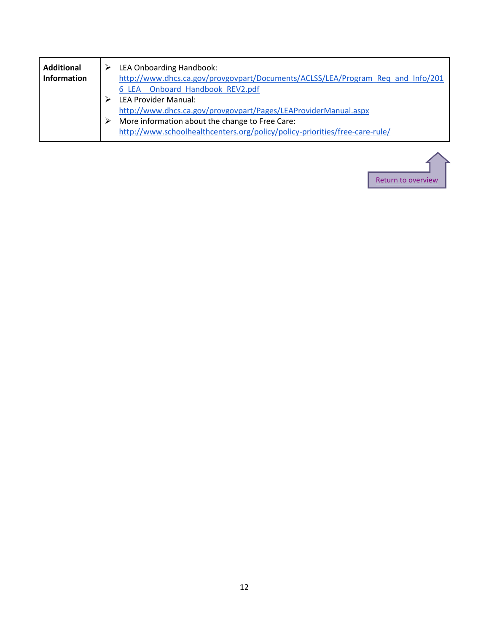| <b>Additional</b>  | LEA Onboarding Handbook:                                                        |
|--------------------|---------------------------------------------------------------------------------|
| <b>Information</b> | http://www.dhcs.ca.gov/provgovpart/Documents/ACLSS/LEA/Program Req and Info/201 |
|                    | 6 LEA Onboard Handbook REV2.pdf                                                 |
|                    | <b>LEA Provider Manual:</b>                                                     |
|                    | http://www.dhcs.ca.gov/provgovpart/Pages/LEAProviderManual.aspx                 |
|                    | More information about the change to Free Care:                                 |
|                    | http://www.schoolhealthcenters.org/policy/policy-priorities/free-care-rule/     |
|                    |                                                                                 |

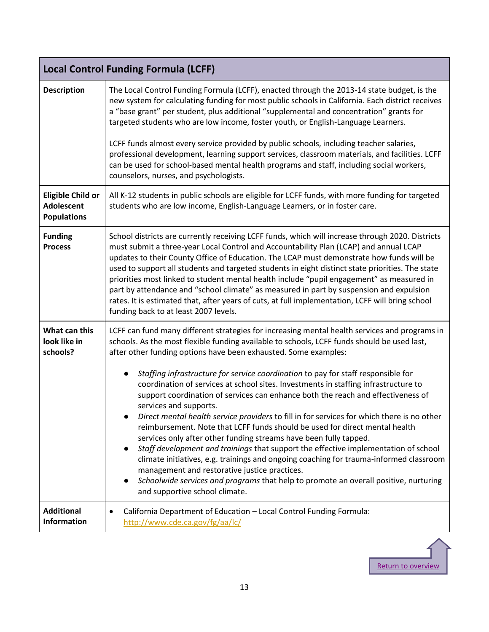<span id="page-12-0"></span>

| <b>Local Control Funding Formula (LCFF)</b>                         |                                                                                                                                                                                                                                                                                                                                                                                                                                                                                                                                                                                                                                                                                                                                                                                                                                                                                                                                                                                                                                                                                                                                                                         |  |
|---------------------------------------------------------------------|-------------------------------------------------------------------------------------------------------------------------------------------------------------------------------------------------------------------------------------------------------------------------------------------------------------------------------------------------------------------------------------------------------------------------------------------------------------------------------------------------------------------------------------------------------------------------------------------------------------------------------------------------------------------------------------------------------------------------------------------------------------------------------------------------------------------------------------------------------------------------------------------------------------------------------------------------------------------------------------------------------------------------------------------------------------------------------------------------------------------------------------------------------------------------|--|
| <b>Description</b>                                                  | The Local Control Funding Formula (LCFF), enacted through the 2013-14 state budget, is the<br>new system for calculating funding for most public schools in California. Each district receives<br>a "base grant" per student, plus additional "supplemental and concentration" grants for<br>targeted students who are low income, foster youth, or English-Language Learners.                                                                                                                                                                                                                                                                                                                                                                                                                                                                                                                                                                                                                                                                                                                                                                                          |  |
|                                                                     | LCFF funds almost every service provided by public schools, including teacher salaries,<br>professional development, learning support services, classroom materials, and facilities. LCFF<br>can be used for school-based mental health programs and staff, including social workers,<br>counselors, nurses, and psychologists.                                                                                                                                                                                                                                                                                                                                                                                                                                                                                                                                                                                                                                                                                                                                                                                                                                         |  |
| <b>Eligible Child or</b><br><b>Adolescent</b><br><b>Populations</b> | All K-12 students in public schools are eligible for LCFF funds, with more funding for targeted<br>students who are low income, English-Language Learners, or in foster care.                                                                                                                                                                                                                                                                                                                                                                                                                                                                                                                                                                                                                                                                                                                                                                                                                                                                                                                                                                                           |  |
| <b>Funding</b><br><b>Process</b>                                    | School districts are currently receiving LCFF funds, which will increase through 2020. Districts<br>must submit a three-year Local Control and Accountability Plan (LCAP) and annual LCAP<br>updates to their County Office of Education. The LCAP must demonstrate how funds will be<br>used to support all students and targeted students in eight distinct state priorities. The state<br>priorities most linked to student mental health include "pupil engagement" as measured in<br>part by attendance and "school climate" as measured in part by suspension and expulsion<br>rates. It is estimated that, after years of cuts, at full implementation, LCFF will bring school<br>funding back to at least 2007 levels.                                                                                                                                                                                                                                                                                                                                                                                                                                          |  |
| What can this<br>look like in<br>schools?                           | LCFF can fund many different strategies for increasing mental health services and programs in<br>schools. As the most flexible funding available to schools, LCFF funds should be used last,<br>after other funding options have been exhausted. Some examples:<br>Staffing infrastructure for service coordination to pay for staff responsible for<br>coordination of services at school sites. Investments in staffing infrastructure to<br>support coordination of services can enhance both the reach and effectiveness of<br>services and supports.<br>Direct mental health service providers to fill in for services for which there is no other<br>reimbursement. Note that LCFF funds should be used for direct mental health<br>services only after other funding streams have been fully tapped.<br>Staff development and trainings that support the effective implementation of school<br>climate initiatives, e.g. trainings and ongoing coaching for trauma-informed classroom<br>management and restorative justice practices.<br>Schoolwide services and programs that help to promote an overall positive, nurturing<br>and supportive school climate. |  |
| <b>Additional</b><br><b>Information</b>                             | California Department of Education - Local Control Funding Formula:<br>http://www.cde.ca.gov/fg/aa/lc/                                                                                                                                                                                                                                                                                                                                                                                                                                                                                                                                                                                                                                                                                                                                                                                                                                                                                                                                                                                                                                                                  |  |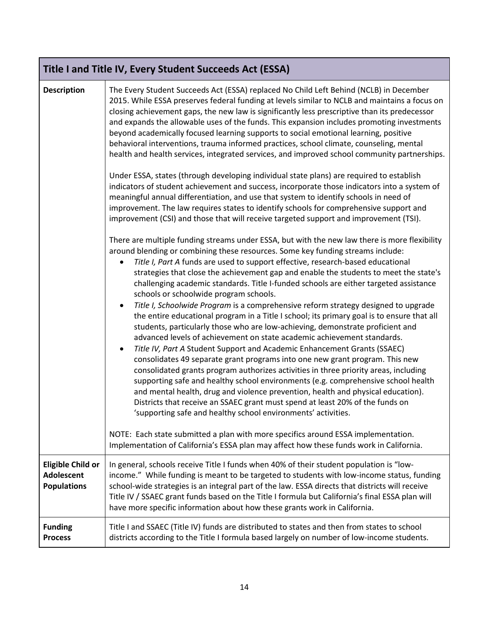<span id="page-13-0"></span>

| Title I and Title IV, Every Student Succeeds Act (ESSA)             |                                                                                                                                                                                                                                                                                                                                                                                                                                                                                                                                                                                                                                                                                                                                                                                                                                                                                                                                                                                                                                                                                                                                                                                                                                                                                                                                               |  |
|---------------------------------------------------------------------|-----------------------------------------------------------------------------------------------------------------------------------------------------------------------------------------------------------------------------------------------------------------------------------------------------------------------------------------------------------------------------------------------------------------------------------------------------------------------------------------------------------------------------------------------------------------------------------------------------------------------------------------------------------------------------------------------------------------------------------------------------------------------------------------------------------------------------------------------------------------------------------------------------------------------------------------------------------------------------------------------------------------------------------------------------------------------------------------------------------------------------------------------------------------------------------------------------------------------------------------------------------------------------------------------------------------------------------------------|--|
| <b>Description</b>                                                  | The Every Student Succeeds Act (ESSA) replaced No Child Left Behind (NCLB) in December<br>2015. While ESSA preserves federal funding at levels similar to NCLB and maintains a focus on<br>closing achievement gaps, the new law is significantly less prescriptive than its predecessor<br>and expands the allowable uses of the funds. This expansion includes promoting investments<br>beyond academically focused learning supports to social emotional learning, positive<br>behavioral interventions, trauma informed practices, school climate, counseling, mental<br>health and health services, integrated services, and improved school community partnerships.<br>Under ESSA, states (through developing individual state plans) are required to establish<br>indicators of student achievement and success, incorporate those indicators into a system of<br>meaningful annual differentiation, and use that system to identify schools in need of<br>improvement. The law requires states to identify schools for comprehensive support and<br>improvement (CSI) and those that will receive targeted support and improvement (TSI).<br>There are multiple funding streams under ESSA, but with the new law there is more flexibility<br>around blending or combining these resources. Some key funding streams include:         |  |
|                                                                     | Title I, Part A funds are used to support effective, research-based educational<br>strategies that close the achievement gap and enable the students to meet the state's<br>challenging academic standards. Title I-funded schools are either targeted assistance<br>schools or schoolwide program schools.<br>Title I, Schoolwide Program is a comprehensive reform strategy designed to upgrade<br>the entire educational program in a Title I school; its primary goal is to ensure that all<br>students, particularly those who are low-achieving, demonstrate proficient and<br>advanced levels of achievement on state academic achievement standards.<br>Title IV, Part A Student Support and Academic Enhancement Grants (SSAEC)<br>$\bullet$<br>consolidates 49 separate grant programs into one new grant program. This new<br>consolidated grants program authorizes activities in three priority areas, including<br>supporting safe and healthy school environments (e.g. comprehensive school health<br>and mental health, drug and violence prevention, health and physical education).<br>Districts that receive an SSAEC grant must spend at least 20% of the funds on<br>'supporting safe and healthy school environments' activities.<br>NOTE: Each state submitted a plan with more specifics around ESSA implementation. |  |
|                                                                     | Implementation of California's ESSA plan may affect how these funds work in California.                                                                                                                                                                                                                                                                                                                                                                                                                                                                                                                                                                                                                                                                                                                                                                                                                                                                                                                                                                                                                                                                                                                                                                                                                                                       |  |
| <b>Eligible Child or</b><br><b>Adolescent</b><br><b>Populations</b> | In general, schools receive Title I funds when 40% of their student population is "low-<br>income." While funding is meant to be targeted to students with low-income status, funding<br>school-wide strategies is an integral part of the law. ESSA directs that districts will receive<br>Title IV / SSAEC grant funds based on the Title I formula but California's final ESSA plan will<br>have more specific information about how these grants work in California.                                                                                                                                                                                                                                                                                                                                                                                                                                                                                                                                                                                                                                                                                                                                                                                                                                                                      |  |
| <b>Funding</b><br><b>Process</b>                                    | Title I and SSAEC (Title IV) funds are distributed to states and then from states to school<br>districts according to the Title I formula based largely on number of low-income students.                                                                                                                                                                                                                                                                                                                                                                                                                                                                                                                                                                                                                                                                                                                                                                                                                                                                                                                                                                                                                                                                                                                                                     |  |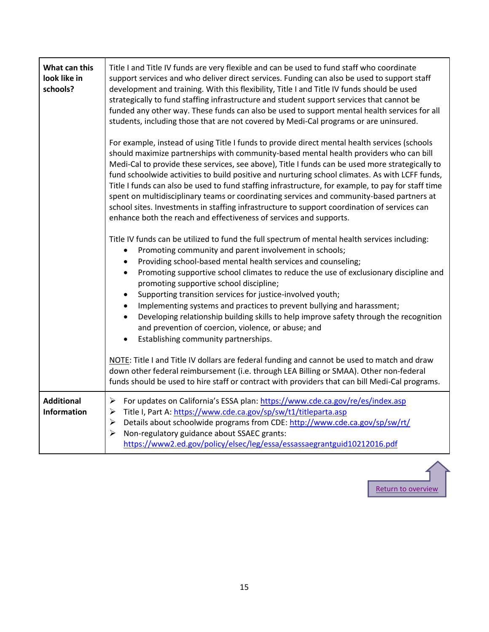| What can this<br>look like in<br>schools? | Title I and Title IV funds are very flexible and can be used to fund staff who coordinate<br>support services and who deliver direct services. Funding can also be used to support staff<br>development and training. With this flexibility, Title I and Title IV funds should be used<br>strategically to fund staffing infrastructure and student support services that cannot be<br>funded any other way. These funds can also be used to support mental health services for all<br>students, including those that are not covered by Medi-Cal programs or are uninsured.                                                                                                                                                                                           |
|-------------------------------------------|------------------------------------------------------------------------------------------------------------------------------------------------------------------------------------------------------------------------------------------------------------------------------------------------------------------------------------------------------------------------------------------------------------------------------------------------------------------------------------------------------------------------------------------------------------------------------------------------------------------------------------------------------------------------------------------------------------------------------------------------------------------------|
|                                           | For example, instead of using Title I funds to provide direct mental health services (schools<br>should maximize partnerships with community-based mental health providers who can bill<br>Medi-Cal to provide these services, see above), Title I funds can be used more strategically to<br>fund schoolwide activities to build positive and nurturing school climates. As with LCFF funds,<br>Title I funds can also be used to fund staffing infrastructure, for example, to pay for staff time<br>spent on multidisciplinary teams or coordinating services and community-based partners at<br>school sites. Investments in staffing infrastructure to support coordination of services can<br>enhance both the reach and effectiveness of services and supports. |
|                                           | Title IV funds can be utilized to fund the full spectrum of mental health services including:<br>Promoting community and parent involvement in schools;<br>٠<br>Providing school-based mental health services and counseling;<br>$\bullet$<br>Promoting supportive school climates to reduce the use of exclusionary discipline and<br>$\bullet$<br>promoting supportive school discipline;<br>Supporting transition services for justice-involved youth;<br>$\bullet$<br>Implementing systems and practices to prevent bullying and harassment;<br>$\bullet$<br>Developing relationship building skills to help improve safety through the recognition<br>$\bullet$<br>and prevention of coercion, violence, or abuse; and<br>Establishing community partnerships.    |
|                                           | NOTE: Title I and Title IV dollars are federal funding and cannot be used to match and draw<br>down other federal reimbursement (i.e. through LEA Billing or SMAA). Other non-federal<br>funds should be used to hire staff or contract with providers that can bill Medi-Cal programs.                                                                                                                                                                                                                                                                                                                                                                                                                                                                                |
| <b>Additional</b><br><b>Information</b>   | $\blacktriangleright$<br>For updates on California's ESSA plan: https://www.cde.ca.gov/re/es/index.asp<br>Title I, Part A: https://www.cde.ca.gov/sp/sw/t1/titleparta.asp<br>➤<br>Details about schoolwide programs from CDE: http://www.cde.ca.gov/sp/sw/rt/<br>$\blacktriangleright$<br>Non-regulatory guidance about SSAEC grants:<br>$\blacktriangleright$<br>https://www2.ed.gov/policy/elsec/leg/essa/essassaegrantguid10212016.pdf                                                                                                                                                                                                                                                                                                                              |

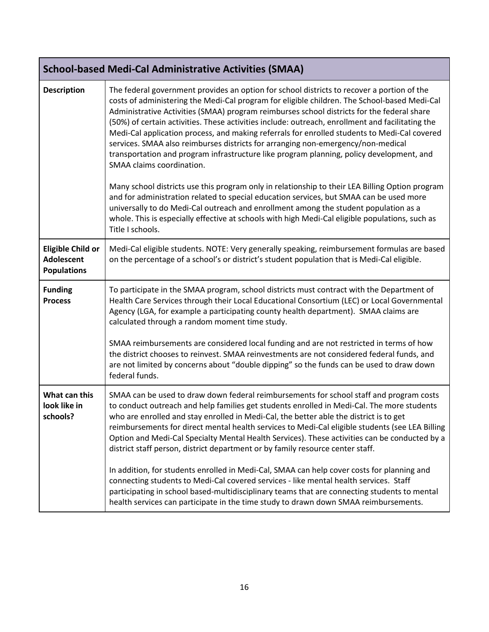<span id="page-15-0"></span>

| <b>School-based Medi-Cal Administrative Activities (SMAA)</b>       |                                                                                                                                                                                                                                                                                                                                                                                                                                                                                                                                                                                                                                                                                                                                                                                                                                                                                                                                                                                                                                                                                                                        |  |
|---------------------------------------------------------------------|------------------------------------------------------------------------------------------------------------------------------------------------------------------------------------------------------------------------------------------------------------------------------------------------------------------------------------------------------------------------------------------------------------------------------------------------------------------------------------------------------------------------------------------------------------------------------------------------------------------------------------------------------------------------------------------------------------------------------------------------------------------------------------------------------------------------------------------------------------------------------------------------------------------------------------------------------------------------------------------------------------------------------------------------------------------------------------------------------------------------|--|
| <b>Description</b>                                                  | The federal government provides an option for school districts to recover a portion of the<br>costs of administering the Medi-Cal program for eligible children. The School-based Medi-Cal<br>Administrative Activities (SMAA) program reimburses school districts for the federal share<br>(50%) of certain activities. These activities include: outreach, enrollment and facilitating the<br>Medi-Cal application process, and making referrals for enrolled students to Medi-Cal covered<br>services. SMAA also reimburses districts for arranging non-emergency/non-medical<br>transportation and program infrastructure like program planning, policy development, and<br>SMAA claims coordination.<br>Many school districts use this program only in relationship to their LEA Billing Option program<br>and for administration related to special education services, but SMAA can be used more<br>universally to do Medi-Cal outreach and enrollment among the student population as a<br>whole. This is especially effective at schools with high Medi-Cal eligible populations, such as<br>Title I schools. |  |
| <b>Eligible Child or</b><br><b>Adolescent</b><br><b>Populations</b> | Medi-Cal eligible students. NOTE: Very generally speaking, reimbursement formulas are based<br>on the percentage of a school's or district's student population that is Medi-Cal eligible.                                                                                                                                                                                                                                                                                                                                                                                                                                                                                                                                                                                                                                                                                                                                                                                                                                                                                                                             |  |
| <b>Funding</b><br><b>Process</b>                                    | To participate in the SMAA program, school districts must contract with the Department of<br>Health Care Services through their Local Educational Consortium (LEC) or Local Governmental<br>Agency (LGA, for example a participating county health department). SMAA claims are<br>calculated through a random moment time study.<br>SMAA reimbursements are considered local funding and are not restricted in terms of how<br>the district chooses to reinvest. SMAA reinvestments are not considered federal funds, and<br>are not limited by concerns about "double dipping" so the funds can be used to draw down<br>federal funds.                                                                                                                                                                                                                                                                                                                                                                                                                                                                               |  |
| What can this<br>look like in<br>schools?                           | SMAA can be used to draw down federal reimbursements for school staff and program costs<br>to conduct outreach and help families get students enrolled in Medi-Cal. The more students<br>who are enrolled and stay enrolled in Medi-Cal, the better able the district is to get<br>reimbursements for direct mental health services to Medi-Cal eligible students (see LEA Billing<br>Option and Medi-Cal Specialty Mental Health Services). These activities can be conducted by a<br>district staff person, district department or by family resource center staff.<br>In addition, for students enrolled in Medi-Cal, SMAA can help cover costs for planning and<br>connecting students to Medi-Cal covered services - like mental health services. Staff<br>participating in school based-multidisciplinary teams that are connecting students to mental<br>health services can participate in the time study to drawn down SMAA reimbursements.                                                                                                                                                                   |  |